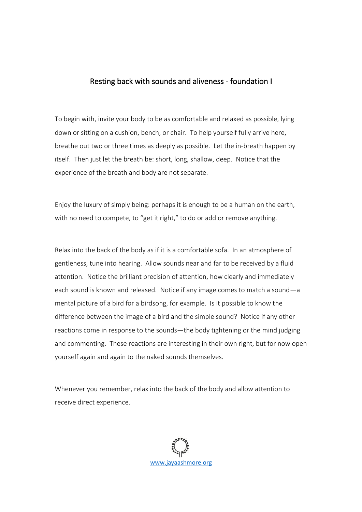## Resting back with sounds and aliveness - foundation I

To begin with, invite your body to be as comfortable and relaxed as possible, lying down or sitting on a cushion, bench, or chair. To help yourself fully arrive here, breathe out two or three times as deeply as possible. Let the in-breath happen by itself. Then just let the breath be: short, long, shallow, deep. Notice that the experience of the breath and body are not separate.

Enjoy the luxury of simply being: perhaps it is enough to be a human on the earth, with no need to compete, to "get it right," to do or add or remove anything.

Relax into the back of the body as if it is a comfortable sofa. In an atmosphere of gentleness, tune into hearing. Allow sounds near and far to be received by a fluid attention. Notice the brilliant precision of attention, how clearly and immediately each sound is known and released. Notice if any image comes to match a sound—a mental picture of a bird for a birdsong, for example. Is it possible to know the difference between the image of a bird and the simple sound? Notice if any other reactions come in response to the sounds—the body tightening or the mind judging and commenting. These reactions are interesting in their own right, but for now open yourself again and again to the naked sounds themselves.

Whenever you remember, relax into the back of the body and allow attention to receive direct experience.

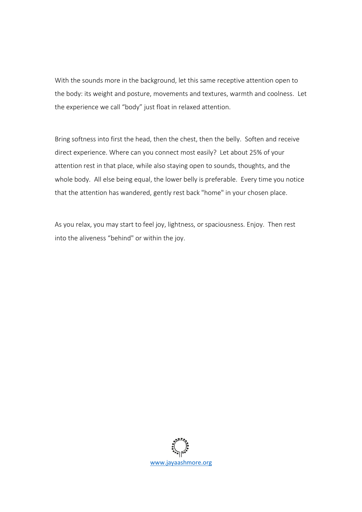With the sounds more in the background, let this same receptive attention open to the body: its weight and posture, movements and textures, warmth and coolness. Let the experience we call "body" just float in relaxed attention.

Bring softness into first the head, then the chest, then the belly. Soften and receive direct experience. Where can you connect most easily? Let about 25% of your attention rest in that place, while also staying open to sounds, thoughts, and the whole body. All else being equal, the lower belly is preferable. Every time you notice that the attention has wandered, gently rest back "home" in your chosen place.

As you relax, you may start to feel joy, lightness, or spaciousness. Enjoy. Then rest into the aliveness "behind" or within the joy.